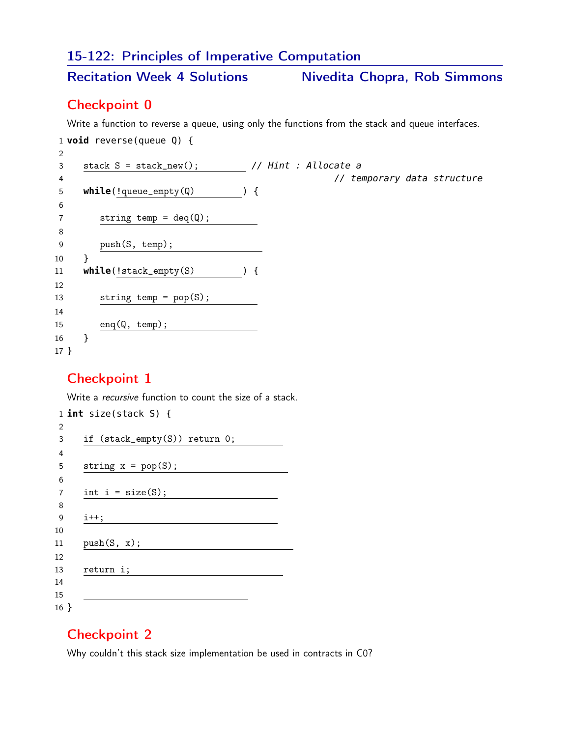# 15-122: Principles of Imperative Computation

Recitation Week 4 Solutions Mivedita Chopra, Rob Simmons

#### Checkpoint 0

Write a function to reverse a queue, using only the functions from the stack and queue interfaces.

 **void** reverse(queue Q) { 3 stack S = stack\_new(); // Hint : Allocate a // temporary data structure **while**(!queue\_empty(Q) ) { 7 string temp =  $deq(Q)$ ; 9 push(S, temp); 1 } **while**(!stack\_empty(S) ) { 13 string temp = pop(S); enq(Q, temp); } }

## Checkpoint 1

Write a recursive function to count the size of a stack.

```
1 int size(stack S) {
2
3 if (stack_empty(S)) return 0;
4
5 string x = pop(S);
6
7 int i = size(S);
8
9 i++;
10
11 <u>push(S, x);</u>
12
13 return i;
14
15
16 }
```
## Checkpoint 2

Why couldn't this stack size implementation be used in contracts in C0?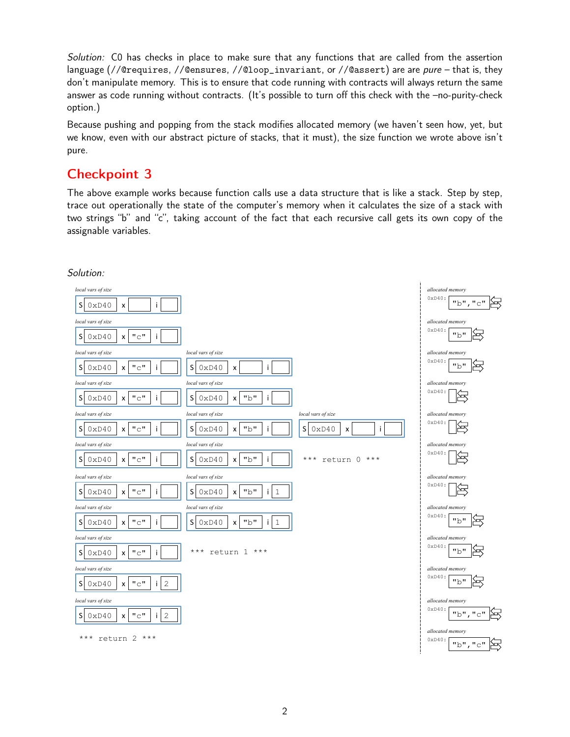Solution: C0 has checks in place to make sure that any functions that are called from the assertion language (//@requires, //@ensures, //@loop\_invariant, or //@assert) are are *pure* – that is, they don't manipulate memory. This is to ensure that code running with contracts will always return the same answer as code running without contracts. (It's possible to turn off this check with the –no-purity-check option.)

Because pushing and popping from the stack modifies allocated memory (we haven't seen how, yet, but we know, even with our abstract picture of stacks, that it must), the size function we wrote above isn't pure.

# Checkpoint 3

The above example works because function calls use a data structure that is like a stack. Step by step, trace out operationally the state of the computer's memory when it calculates the size of a stack with two strings "b" and "c", taking account of the fact that each recursive call gets its own copy of the assignable variables.



#### Solution: